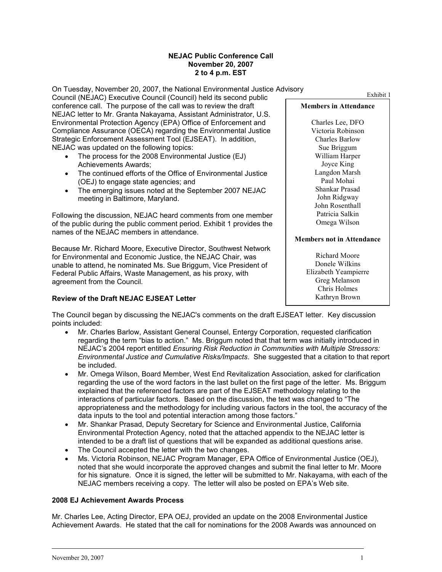### **NEJAC Public Conference Call November 20, 2007 2 to 4 p.m. EST**

On Tuesday, November 20, 2007, the National Environmental Justice Advisory Council (NEJAC) Executive Council (Council) held its second public Exhibit 1 conference call. The purpose of the call was to review the draft **Members in Attendance** NEJAC letter to Mr. Granta Nakayama, Assistant Administrator, U.S. Environmental Protection Agency (EPA) Office of Enforcement and Charles Lee, DFO<br>Compliance Assurance (OECA) regarding the Environmental Justice Victoria Robinson Compliance Assurance (OECA) regarding the Environmental Justice Victoria Robinson<br>Strategic Enforcement Assessment Tool (EJSEAT). In addition. Charles Barlow Strategic Enforcement Assessment Tool (EJSEAT). In addition, NEJAC was updated on the following topics: Sue Briggum Sue Briggum

- The process for the 2008 Environmental Justice (EJ) William Harper<br>Achievements Awards: Joyce King Achievements Awards;<br>The continued efforts of the Office of Environmental Justice Langdon Marsh
- The continued efforts of the Office of Environmental Justice Langdon Mars<br>(OEJ) to engage state agencies: and (OEJ) to engage state agencies; and<br>The emerging issues noted at the September 2007 NE LAC Shankar Prasad
- The emerging issues noted at the September 2007 NEJAC Shankar Prasad meeting in Baltimore Maryland meeting in Baltimore, Maryland.

Following the discussion, NEJAC heard comments from one member Patricia Salkin<br>
of the public during the public comment period Exhibit 1 provides the Omega Wilson of the public during the public comment period. Exhibit 1 provides the names of the NEJAC members in attendance.

Because Mr. Richard Moore, Executive Director, Southwest Network for Environmental and Economic Justice, the NEJAC Chair, was Richard Moore<br>
unable to attend the nominated Ms. Sue Briggum, Vice President of Richard Moore Wilkins unable to attend, he nominated Ms. Sue Briggum, Vice President of Donele Wilkins<br>Federal Public Affairs, Waste Management, as his proxy, with Elizabeth Yeampierre Federal Public Affairs, Waste Management, as his proxy, with Elizabeth Yeampierrement from the Council agreement from the Council.

# **Review of the Draft NEJAC EJSEAT Letter** Mathropology and Mathropology Rathryn Brown

John Rosenthall

Chris Holmes

The Council began by discussing the NEJAC's comments on the draft EJSEAT letter. Key discussion points included:

- Mr. Charles Barlow, Assistant General Counsel, Entergy Corporation, requested clarification regarding the term "bias to action." Ms. Briggum noted that that term was initially introduced in NEJAC's 2004 report entitled *Ensuring Risk Reduction in Communities with Multiple Stressors: Environmental Justice and Cumulative Risks/Impacts*. She suggested that a citation to that report be included.
- Mr. Omega Wilson, Board Member, West End Revitalization Association, asked for clarification regarding the use of the word factors in the last bullet on the first page of the letter. Ms. Briggum explained that the referenced factors are part of the EJSEAT methodology relating to the interactions of particular factors. Based on the discussion, the text was changed to "The appropriateness and the methodology for including various factors in the tool, the accuracy of the data inputs to the tool and potential interaction among those factors."
- Mr. Shankar Prasad, Deputy Secretary for Science and Environmental Justice, California Environmental Protection Agency, noted that the attached appendix to the NEJAC letter is intended to be a draft list of questions that will be expanded as additional questions arise.
- The Council accepted the letter with the two changes.
- Ms. Victoria Robinson, NEJAC Program Manager, EPA Office of Environmental Justice (OEJ), noted that she would incorporate the approved changes and submit the final letter to Mr. Moore for his signature. Once it is signed, the letter will be submitted to Mr. Nakayama, with each of the NEJAC members receiving a copy. The letter will also be posted on EPA's Web site.

## **2008 EJ Achievement Awards Process**

Mr. Charles Lee, Acting Director, EPA OEJ, provided an update on the 2008 Environmental Justice Achievement Awards. He stated that the call for nominations for the 2008 Awards was announced on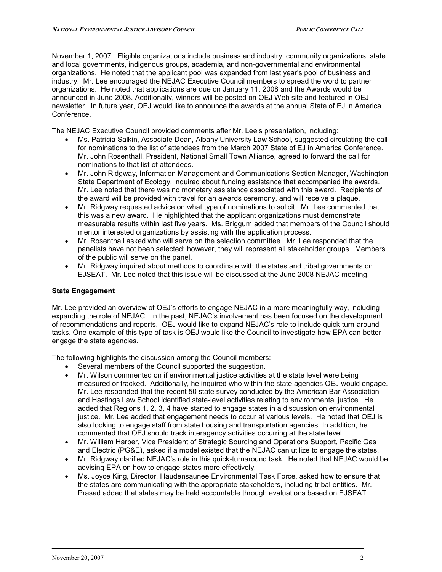November 1, 2007. Eligible organizations include business and industry, community organizations, state and local governments, indigenous groups, academia, and non-governmental and environmental organizations. He noted that the applicant pool was expanded from last year's pool of business and industry. Mr. Lee encouraged the NEJAC Executive Council members to spread the word to partner organizations. He noted that applications are due on January 11, 2008 and the Awards would be announced in June 2008. Additionally, winners will be posted on OEJ Web site and featured in OEJ newsletter. In future year, OEJ would like to announce the awards at the annual State of EJ in America Conference.

The NEJAC Executive Council provided comments after Mr. Lee's presentation, including:

- Ms. Patricia Salkin, Associate Dean, Albany University Law School, suggested circulating the call for nominations to the list of attendees from the March 2007 State of EJ in America Conference. Mr. John Rosenthall, President, National Small Town Alliance, agreed to forward the call for nominations to that list of attendees.
- Mr. John Ridgway, Information Management and Communications Section Manager, Washington State Department of Ecology, inquired about funding assistance that accompanied the awards. Mr. Lee noted that there was no monetary assistance associated with this award. Recipients of the award will be provided with travel for an awards ceremony, and will receive a plaque.
- Mr. Ridgway requested advice on what type of nominations to solicit. Mr. Lee commented that this was a new award. He highlighted that the applicant organizations must demonstrate measurable results within last five years. Ms. Briggum added that members of the Council should mentor interested organizations by assisting with the application process.
- Mr. Rosenthall asked who will serve on the selection committee. Mr. Lee responded that the panelists have not been selected; however, they will represent all stakeholder groups. Members of the public will serve on the panel.
- Mr. Ridgway inquired about methods to coordinate with the states and tribal governments on EJSEAT. Mr. Lee noted that this issue will be discussed at the June 2008 NEJAC meeting.

## **State Engagement**

Mr. Lee provided an overview of OEJ's efforts to engage NEJAC in a more meaningfully way, including expanding the role of NEJAC. In the past, NEJAC's involvement has been focused on the development of recommendations and reports. OEJ would like to expand NEJAC's role to include quick turn-around tasks. One example of this type of task is OEJ would like the Council to investigate how EPA can better engage the state agencies.

The following highlights the discussion among the Council members:

- Several members of the Council supported the suggestion.
- Mr. Wilson commented on if environmental justice activities at the state level were being measured or tracked. Additionally, he inquired who within the state agencies OEJ would engage. Mr. Lee responded that the recent 50 state survey conducted by the American Bar Association and Hastings Law School identified state-level activities relating to environmental justice. He added that Regions 1, 2, 3, 4 have started to engage states in a discussion on environmental justice. Mr. Lee added that engagement needs to occur at various levels. He noted that OEJ is also looking to engage staff from state housing and transportation agencies. In addition, he commented that OEJ should track interagency activities occurring at the state level.
- Mr. William Harper, Vice President of Strategic Sourcing and Operations Support, Pacific Gas and Electric (PG&E), asked if a model existed that the NEJAC can utilize to engage the states.
- Mr. Ridgway clarified NEJAC's role in this quick-turnaround task. He noted that NEJAC would be advising EPA on how to engage states more effectively.
- Ms. Joyce King, Director, Haudensaunee Environmental Task Force, asked how to ensure that the states are communicating with the appropriate stakeholders, including tribal entities. Mr. Prasad added that states may be held accountable through evaluations based on EJSEAT.